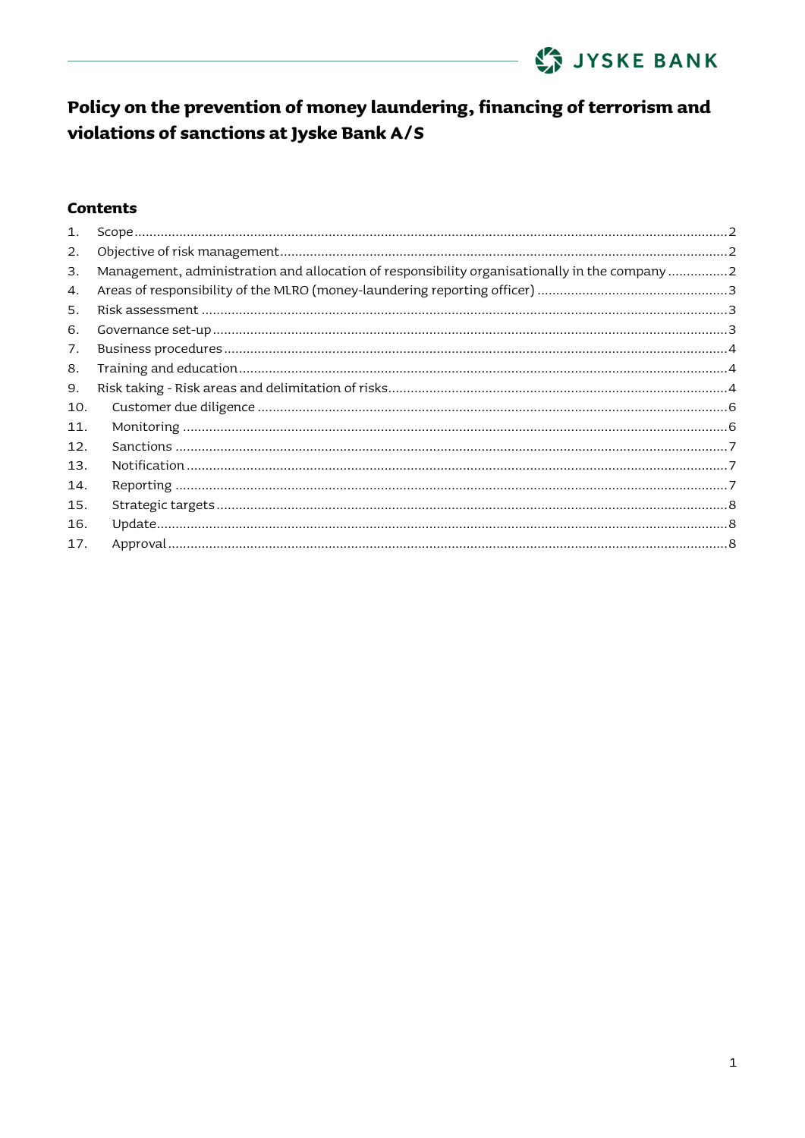

#### **Contents**

| $\mathbf{1}$ . |                                                                                                |  |
|----------------|------------------------------------------------------------------------------------------------|--|
| 2.             |                                                                                                |  |
| 3.             | Management, administration and allocation of responsibility organisationally in the company  2 |  |
| 4.             |                                                                                                |  |
| 5.             |                                                                                                |  |
| 6.             |                                                                                                |  |
| 7.             |                                                                                                |  |
| 8.             |                                                                                                |  |
| 9.             |                                                                                                |  |
| 10.            |                                                                                                |  |
| 11.            |                                                                                                |  |
| 12.            |                                                                                                |  |
| 13.            |                                                                                                |  |
| 14.            |                                                                                                |  |
| 15.            |                                                                                                |  |
| 16.            |                                                                                                |  |
| 17.            |                                                                                                |  |
|                |                                                                                                |  |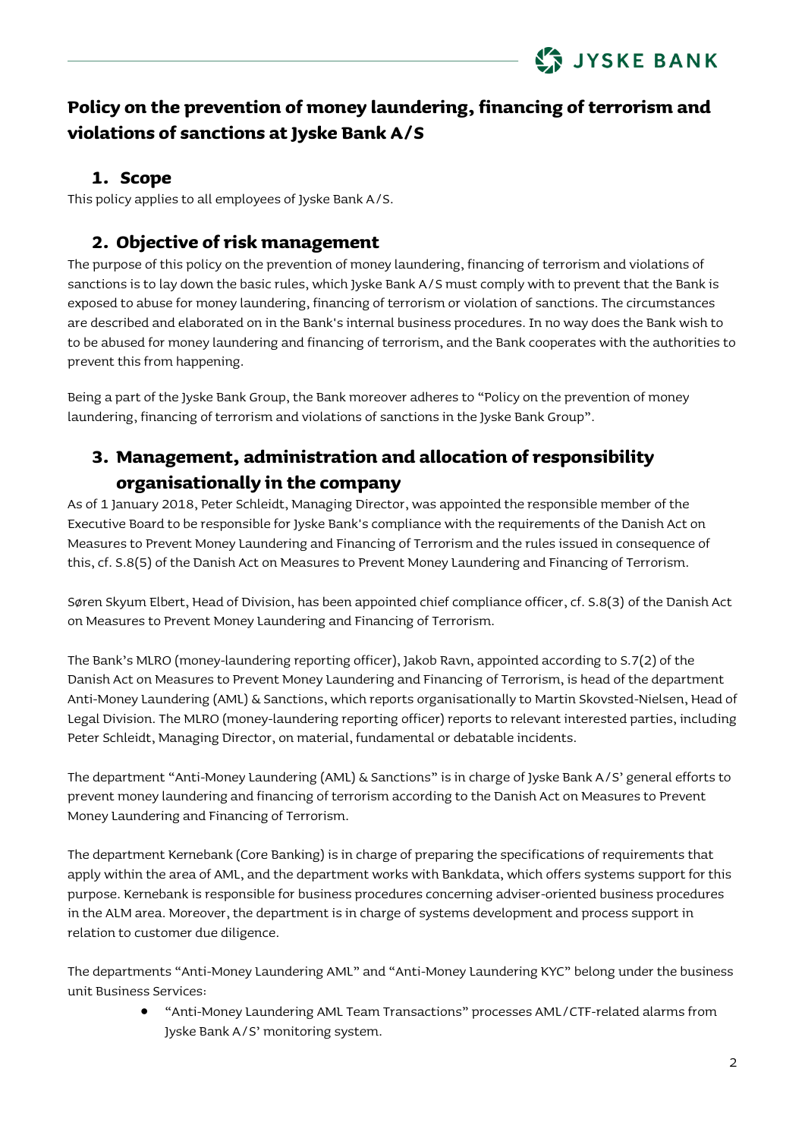### <span id="page-1-0"></span>**1. Scope**

This policy applies to all employees of Jyske Bank A/S.

### **2. Objective of risk management**

<span id="page-1-1"></span>The purpose of this policy on the prevention of money laundering, financing of terrorism and violations of sanctions is to lay down the basic rules, which Jyske Bank A/S must comply with to prevent that the Bank is exposed to abuse for money laundering, financing of terrorism or violation of sanctions. The circumstances are described and elaborated on in the Bank's internal business procedures. In no way does the Bank wish to to be abused for money laundering and financing of terrorism, and the Bank cooperates with the authorities to prevent this from happening.

Being a part of the Jyske Bank Group, the Bank moreover adheres to "Policy on the prevention of money laundering, financing of terrorism and violations of sanctions in the Jyske Bank Group".

## <span id="page-1-2"></span>**3. Management, administration and allocation of responsibility organisationally in the company**

As of 1 January 2018, Peter Schleidt, Managing Director, was appointed the responsible member of the Executive Board to be responsible for Jyske Bank's compliance with the requirements of the Danish Act on Measures to Prevent Money Laundering and Financing of Terrorism and the rules issued in consequence of this, cf. S.8(5) of the Danish Act on Measures to Prevent Money Laundering and Financing of Terrorism.

Søren Skyum Elbert, Head of Division, has been appointed chief compliance officer, cf. S.8(3) of the Danish Act on Measures to Prevent Money Laundering and Financing of Terrorism.

The Bank's MLRO (money-laundering reporting officer), Jakob Ravn, appointed according to S.7(2) of the Danish Act on Measures to Prevent Money Laundering and Financing of Terrorism, is head of the department Anti-Money Laundering (AML) & Sanctions, which reports organisationally to Martin Skovsted-Nielsen, Head of Legal Division. The MLRO (money-laundering reporting officer) reports to relevant interested parties, including Peter Schleidt, Managing Director, on material, fundamental or debatable incidents.

The department "Anti-Money Laundering (AML) & Sanctions" is in charge of Jyske Bank A/S' general efforts to prevent money laundering and financing of terrorism according to the Danish Act on Measures to Prevent Money Laundering and Financing of Terrorism.

The department Kernebank (Core Banking) is in charge of preparing the specifications of requirements that apply within the area of AML, and the department works with Bankdata, which offers systems support for this purpose. Kernebank is responsible for business procedures concerning adviser-oriented business procedures in the ALM area. Moreover, the department is in charge of systems development and process support in relation to customer due diligence.

The departments "Anti-Money Laundering AML" and "Anti-Money Laundering KYC" belong under the business unit Business Services:

> • "Anti-Money Laundering AML Team Transactions" processes AML/CTF-related alarms from Jyske Bank A/S' monitoring system.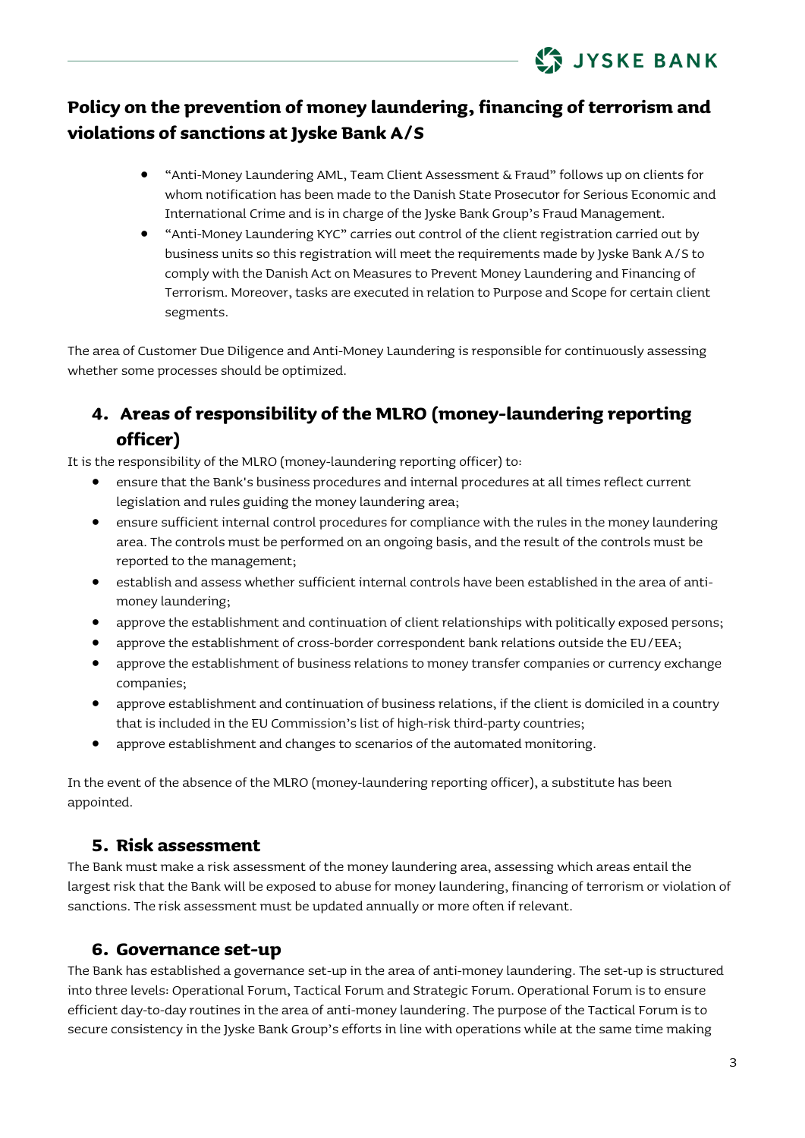

- "Anti-Money Laundering AML, Team Client Assessment & Fraud" follows up on clients for whom notification has been made to the Danish State Prosecutor for Serious Economic and International Crime and is in charge of the Jyske Bank Group's Fraud Management.
- "Anti-Money Laundering KYC" carries out control of the client registration carried out by business units so this registration will meet the requirements made by Jyske Bank A/S to comply with the Danish Act on Measures to Prevent Money Laundering and Financing of Terrorism. Moreover, tasks are executed in relation to Purpose and Scope for certain client segments.

The area of Customer Due Diligence and Anti-Money Laundering is responsible for continuously assessing whether some processes should be optimized.

## <span id="page-2-0"></span>**4. Areas of responsibility of the MLRO (money-laundering reporting officer)**

It is the responsibility of the MLRO (money-laundering reporting officer) to:

- ensure that the Bank's business procedures and internal procedures at all times reflect current legislation and rules guiding the money laundering area;
- ensure sufficient internal control procedures for compliance with the rules in the money laundering area. The controls must be performed on an ongoing basis, and the result of the controls must be reported to the management;
- establish and assess whether sufficient internal controls have been established in the area of antimoney laundering;
- approve the establishment and continuation of client relationships with politically exposed persons;
- approve the establishment of cross-border correspondent bank relations outside the EU/EEA;
- approve the establishment of business relations to money transfer companies or currency exchange companies;
- approve establishment and continuation of business relations, if the client is domiciled in a country that is included in the EU Commission's list of high-risk third-party countries;
- approve establishment and changes to scenarios of the automated monitoring.

In the event of the absence of the MLRO (money-laundering reporting officer), a substitute has been appointed.

### <span id="page-2-1"></span>**5. Risk assessment**

The Bank must make a risk assessment of the money laundering area, assessing which areas entail the largest risk that the Bank will be exposed to abuse for money laundering, financing of terrorism or violation of sanctions. The risk assessment must be updated annually or more often if relevant.

### <span id="page-2-2"></span>**6. Governance set-up**

The Bank has established a governance set-up in the area of anti-money laundering. The set-up is structured into three levels: Operational Forum, Tactical Forum and Strategic Forum. Operational Forum is to ensure efficient day-to-day routines in the area of anti-money laundering. The purpose of the Tactical Forum is to secure consistency in the Jyske Bank Group's efforts in line with operations while at the same time making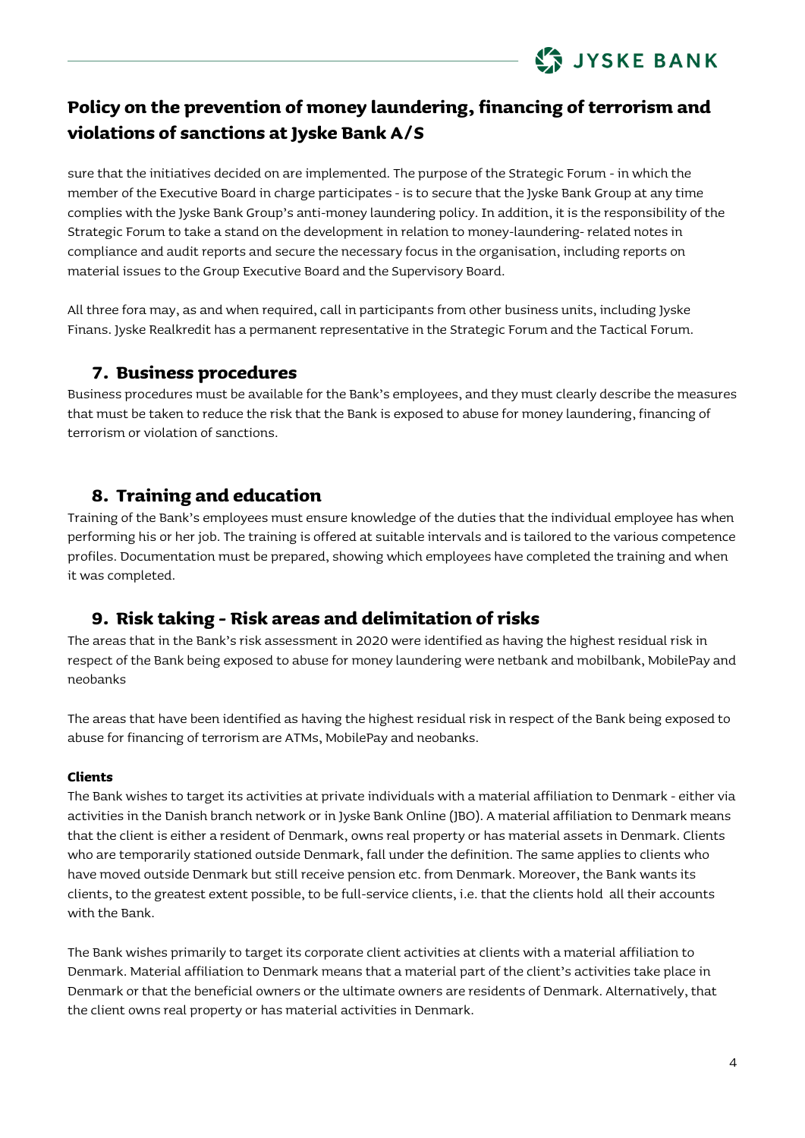

sure that the initiatives decided on are implemented. The purpose of the Strategic Forum - in which the member of the Executive Board in charge participates - is to secure that the Jyske Bank Group at any time complies with the Jyske Bank Group's anti-money laundering policy. In addition, it is the responsibility of the Strategic Forum to take a stand on the development in relation to money-laundering- related notes in compliance and audit reports and secure the necessary focus in the organisation, including reports on material issues to the Group Executive Board and the Supervisory Board.

All three fora may, as and when required, call in participants from other business units, including Jyske Finans. Jyske Realkredit has a permanent representative in the Strategic Forum and the Tactical Forum.

### **7. Business procedures**

<span id="page-3-0"></span>Business procedures must be available for the Bank's employees, and they must clearly describe the measures that must be taken to reduce the risk that the Bank is exposed to abuse for money laundering, financing of terrorism or violation of sanctions.

### <span id="page-3-1"></span>**8. Training and education**

Training of the Bank's employees must ensure knowledge of the duties that the individual employee has when performing his or her job. The training is offered at suitable intervals and is tailored to the various competence profiles. Documentation must be prepared, showing which employees have completed the training and when it was completed.

### <span id="page-3-2"></span>**9. Risk taking - Risk areas and delimitation of risks**

The areas that in the Bank's risk assessment in 2020 were identified as having the highest residual risk in respect of the Bank being exposed to abuse for money laundering were netbank and mobilbank, MobilePay and neobanks

The areas that have been identified as having the highest residual risk in respect of the Bank being exposed to abuse for financing of terrorism are ATMs, MobilePay and neobanks.

#### **Clients**

The Bank wishes to target its activities at private individuals with a material affiliation to Denmark - either via activities in the Danish branch network or in Jyske Bank Online (JBO). A material affiliation to Denmark means that the client is either a resident of Denmark, owns real property or has material assets in Denmark. Clients who are temporarily stationed outside Denmark, fall under the definition. The same applies to clients who have moved outside Denmark but still receive pension etc. from Denmark. Moreover, the Bank wants its clients, to the greatest extent possible, to be full-service clients, i.e. that the clients hold all their accounts with the Bank.

The Bank wishes primarily to target its corporate client activities at clients with a material affiliation to Denmark. Material affiliation to Denmark means that a material part of the client's activities take place in Denmark or that the beneficial owners or the ultimate owners are residents of Denmark. Alternatively, that the client owns real property or has material activities in Denmark.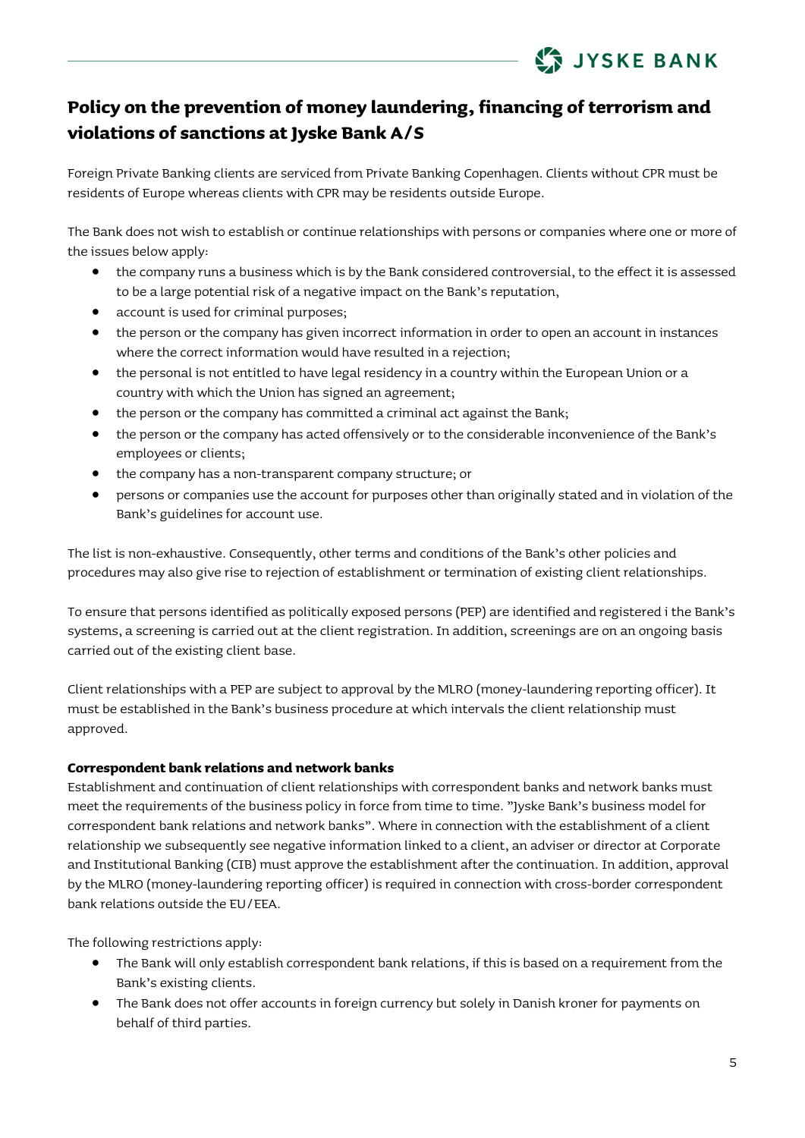

Foreign Private Banking clients are serviced from Private Banking Copenhagen. Clients without CPR must be residents of Europe whereas clients with CPR may be residents outside Europe.

The Bank does not wish to establish or continue relationships with persons or companies where one or more of the issues below apply:

- the company runs a business which is by the Bank considered controversial, to the effect it is assessed to be a large potential risk of a negative impact on the Bank's reputation,
- account is used for criminal purposes;
- the person or the company has given incorrect information in order to open an account in instances where the correct information would have resulted in a rejection;
- the personal is not entitled to have legal residency in a country within the European Union or a country with which the Union has signed an agreement;
- the person or the company has committed a criminal act against the Bank;
- the person or the company has acted offensively or to the considerable inconvenience of the Bank's employees or clients;
- the company has a non-transparent company structure; or
- persons or companies use the account for purposes other than originally stated and in violation of the Bank's guidelines for account use.

The list is non-exhaustive. Consequently, other terms and conditions of the Bank's other policies and procedures may also give rise to rejection of establishment or termination of existing client relationships.

To ensure that persons identified as politically exposed persons (PEP) are identified and registered i the Bank's systems, a screening is carried out at the client registration. In addition, screenings are on an ongoing basis carried out of the existing client base.

Client relationships with a PEP are subject to approval by the MLRO (money-laundering reporting officer). It must be established in the Bank's business procedure at which intervals the client relationship must approved.

#### **Correspondent bank relations and network banks**

Establishment and continuation of client relationships with correspondent banks and network banks must meet the requirements of the business policy in force from time to time. "Jyske Bank's business model for correspondent bank relations and network banks". Where in connection with the establishment of a client relationship we subsequently see negative information linked to a client, an adviser or director at Corporate and Institutional Banking (CIB) must approve the establishment after the continuation. In addition, approval by the MLRO (money-laundering reporting officer) is required in connection with cross-border correspondent bank relations outside the EU/EEA.

The following restrictions apply:

- The Bank will only establish correspondent bank relations, if this is based on a requirement from the Bank's existing clients.
- The Bank does not offer accounts in foreign currency but solely in Danish kroner for payments on behalf of third parties.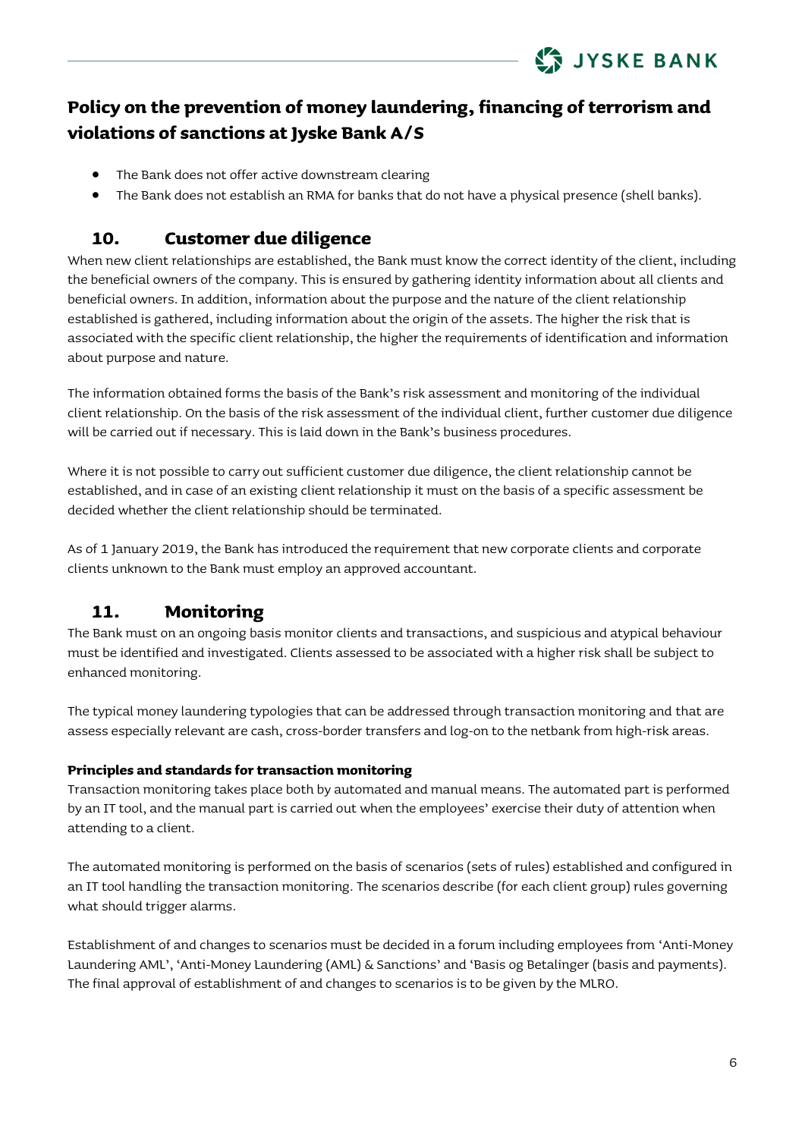- The Bank does not offer active downstream clearing
- The Bank does not establish an RMA for banks that do not have a physical presence (shell banks).

### **10. Customer due diligence**

<span id="page-5-0"></span>When new client relationships are established, the Bank must know the correct identity of the client, including the beneficial owners of the company. This is ensured by gathering identity information about all clients and beneficial owners. In addition, information about the purpose and the nature of the client relationship established is gathered, including information about the origin of the assets. The higher the risk that is associated with the specific client relationship, the higher the requirements of identification and information about purpose and nature.

The information obtained forms the basis of the Bank's risk assessment and monitoring of the individual client relationship. On the basis of the risk assessment of the individual client, further customer due diligence will be carried out if necessary. This is laid down in the Bank's business procedures.

Where it is not possible to carry out sufficient customer due diligence, the client relationship cannot be established, and in case of an existing client relationship it must on the basis of a specific assessment be decided whether the client relationship should be terminated.

As of 1 January 2019, the Bank has introduced the requirement that new corporate clients and corporate clients unknown to the Bank must employ an approved accountant.

## **11. Monitoring**

<span id="page-5-1"></span>The Bank must on an ongoing basis monitor clients and transactions, and suspicious and atypical behaviour must be identified and investigated. Clients assessed to be associated with a higher risk shall be subject to enhanced monitoring.

The typical money laundering typologies that can be addressed through transaction monitoring and that are assess especially relevant are cash, cross-border transfers and log-on to the netbank from high-risk areas.

#### **Principles and standards for transaction monitoring**

Transaction monitoring takes place both by automated and manual means. The automated part is performed by an IT tool, and the manual part is carried out when the employees' exercise their duty of attention when attending to a client.

The automated monitoring is performed on the basis of scenarios (sets of rules) established and configured in an IT tool handling the transaction monitoring. The scenarios describe (for each client group) rules governing what should trigger alarms.

Establishment of and changes to scenarios must be decided in a forum including employees from 'Anti-Money Laundering AML', 'Anti-Money Laundering (AML) & Sanctions' and 'Basis og Betalinger (basis and payments). The final approval of establishment of and changes to scenarios is to be given by the MLRO.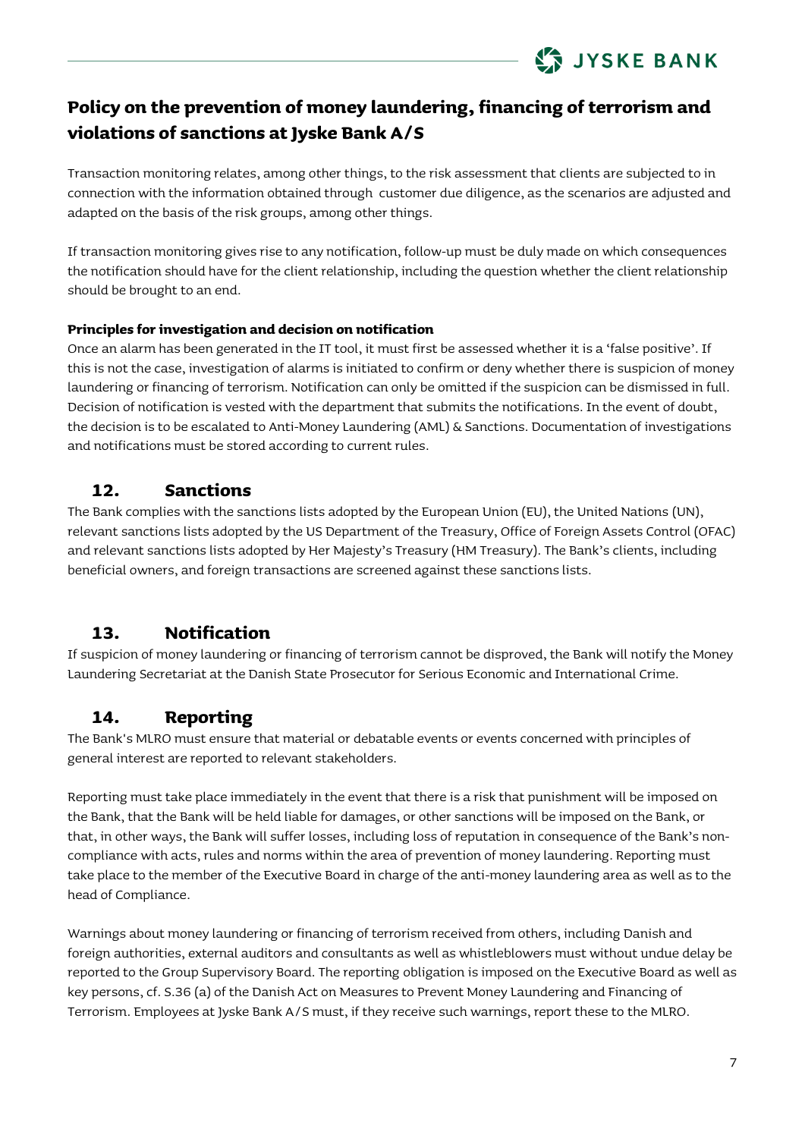

Transaction monitoring relates, among other things, to the risk assessment that clients are subjected to in connection with the information obtained through customer due diligence, as the scenarios are adjusted and adapted on the basis of the risk groups, among other things.

If transaction monitoring gives rise to any notification, follow-up must be duly made on which consequences the notification should have for the client relationship, including the question whether the client relationship should be brought to an end.

#### **Principles for investigation and decision on notification**

Once an alarm has been generated in the IT tool, it must first be assessed whether it is a 'false positive'. If this is not the case, investigation of alarms is initiated to confirm or deny whether there is suspicion of money laundering or financing of terrorism. Notification can only be omitted if the suspicion can be dismissed in full. Decision of notification is vested with the department that submits the notifications. In the event of doubt, the decision is to be escalated to Anti-Money Laundering (AML) & Sanctions. Documentation of investigations and notifications must be stored according to current rules.

#### **12. Sanctions**

<span id="page-6-0"></span>The Bank complies with the sanctions lists adopted by the European Union (EU), the United Nations (UN), relevant sanctions lists adopted by the US Department of the Treasury, Office of Foreign Assets Control (OFAC) and relevant sanctions lists adopted by Her Majesty's Treasury (HM Treasury). The Bank's clients, including beneficial owners, and foreign transactions are screened against these sanctions lists.

### **13. Notification**

<span id="page-6-1"></span>If suspicion of money laundering or financing of terrorism cannot be disproved, the Bank will notify the Money Laundering Secretariat at the Danish State Prosecutor for Serious Economic and International Crime.

### <span id="page-6-2"></span>**14. Reporting**

The Bank's MLRO must ensure that material or debatable events or events concerned with principles of general interest are reported to relevant stakeholders.

Reporting must take place immediately in the event that there is a risk that punishment will be imposed on the Bank, that the Bank will be held liable for damages, or other sanctions will be imposed on the Bank, or that, in other ways, the Bank will suffer losses, including loss of reputation in consequence of the Bank's noncompliance with acts, rules and norms within the area of prevention of money laundering. Reporting must take place to the member of the Executive Board in charge of the anti-money laundering area as well as to the head of Compliance.

Warnings about money laundering or financing of terrorism received from others, including Danish and foreign authorities, external auditors and consultants as well as whistleblowers must without undue delay be reported to the Group Supervisory Board. The reporting obligation is imposed on the Executive Board as well as key persons, cf. S.36 (a) of the Danish Act on Measures to Prevent Money Laundering and Financing of Terrorism. Employees at Jyske Bank A/S must, if they receive such warnings, report these to the MLRO.